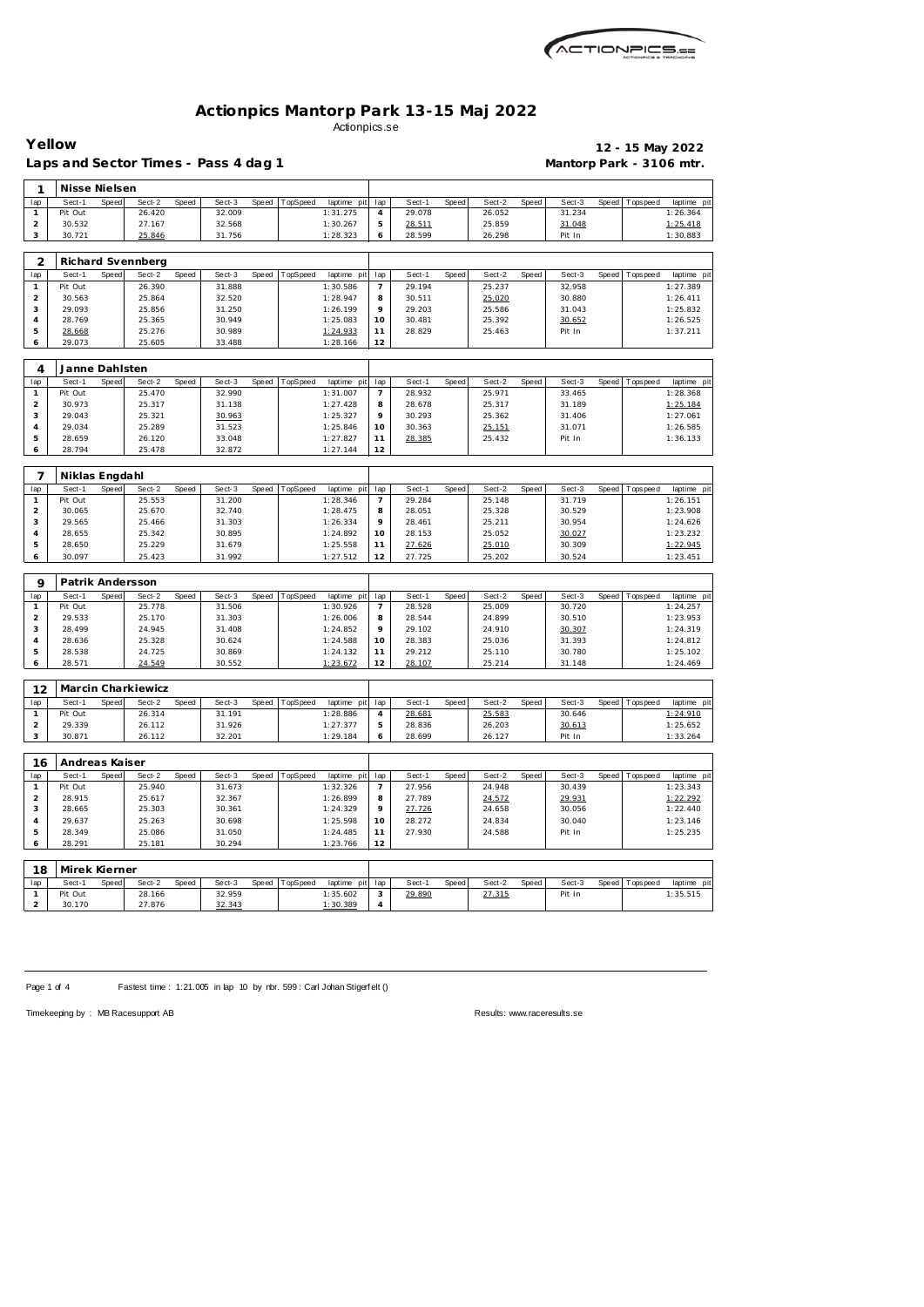| ACTIONPICS 52 |
|---------------|
|               |

|                                | Yellow<br>Laps and Sector Times - Pass 4 dag 1 |       |                    |       |                  |       |          |                         |                |                  |       |                  |       | Mantorp Park - 3106 mtr. |       | 12 - 15 May 2022 |                        |
|--------------------------------|------------------------------------------------|-------|--------------------|-------|------------------|-------|----------|-------------------------|----------------|------------------|-------|------------------|-------|--------------------------|-------|------------------|------------------------|
| 1                              | Nisse Nielsen                                  |       |                    |       |                  |       |          |                         |                |                  |       |                  |       |                          |       |                  |                        |
| lap                            | Sect-1                                         | Speed | Sect-2             | Speed | Sect-3           | Speed | TopSpeed | laptime pit             | lap            | Sect-1           | Speed | Sect-2           | Speed | Sect-3                   | Speed | Tops pee d       | laptime pi             |
| $\mathbf{1}$                   | Pit Out                                        |       | 26.420             |       | 32.009           |       |          | 1:31.275                | 4              | 29.078           |       | 26.052           |       | 31.234                   |       |                  | 1:26.364               |
| $\overline{a}$                 | 30.532                                         |       | 27.167             |       | 32.568           |       |          | 1:30.267                | 5              | 28.511           |       | 25.859           |       | 31.048                   |       |                  | 1:25.418               |
| 3                              | 30.721                                         |       | 25.846             |       | 31.756           |       |          | 1:28.323                | 6              | 28.599           |       | 26.298           |       | Pit In                   |       |                  | 1:30.883               |
|                                |                                                |       |                    |       |                  |       |          |                         |                |                  |       |                  |       |                          |       |                  |                        |
| 2                              |                                                |       | Richard Svennberg  |       |                  |       |          |                         |                |                  |       |                  |       |                          |       |                  |                        |
| lap                            | Sect-1                                         | Speed | Sect-2             | Speed | Sect-3           | Speed | TopSpeed | laptime pit             | lap            | Sect-1           | Speed | Sect-2           | Speed | Sect-3                   | Speed | T ops pee d      | laptime pi             |
| $\mathbf{1}$                   | Pit Out                                        |       | 26.390             |       | 31.888           |       |          | 1:30.586                | $\overline{7}$ | 29.194           |       | 25.237           |       | 32.958                   |       |                  | 1:27.389               |
| $\overline{a}$                 | 30.563                                         |       | 25.864             |       | 32.520           |       |          | 1:28.947                | 8              | 30.511           |       | 25.020           |       | 30.880                   |       |                  | 1:26.411               |
| 3                              | 29.093                                         |       | 25.856             |       | 31.250           |       |          | 1:26.199                | 9              | 29.203           |       | 25.586           |       | 31.043                   |       |                  | 1:25.832               |
| 4                              | 28.769                                         |       | 25.365             |       | 30.949           |       |          | 1:25.083                | 10             | 30.481           |       | 25.392           |       | 30.652                   |       |                  | 1:26.525               |
| 5                              | 28.668                                         |       | 25.276             |       | 30.989           |       |          | 1:24.933                | 11             | 28.829           |       | 25.463           |       | Pit In                   |       |                  | 1:37.211               |
| 6                              | 29.073                                         |       | 25.605             |       | 33.488           |       |          | 1:28.166                | 12             |                  |       |                  |       |                          |       |                  |                        |
| 4                              | Janne Dahlsten                                 |       |                    |       |                  |       |          |                         |                |                  |       |                  |       |                          |       |                  |                        |
| lap                            | Sect-1                                         | Speed | Sect-2             | Speed | Sect-3           | Speed | TopSpeed | laptime pit             | lap            | Sect-1           | Speed | Sect-2           | Speed | Sect-3                   | Speed | T ops pee d      | laptime pi             |
| $\mathbf{1}$                   | Pit Out                                        |       | 25.470             |       | 32.990           |       |          | 1:31.007                | $\overline{7}$ | 28.932           |       | 25.971           |       | 33.465                   |       |                  | 1:28.368               |
| $\overline{a}$                 | 30.973                                         |       | 25.317             |       | 31.138           |       |          | 1:27.428                | 8              | 28.678           |       | 25.317           |       | 31.189                   |       |                  | 1:25.184               |
| 3                              | 29.043                                         |       | 25.321             |       | 30.963           |       |          | 1:25.327                | 9              | 30.293           |       | 25.362           |       | 31.406                   |       |                  | 1:27.061               |
| 4                              | 29.034                                         |       | 25.289             |       | 31.523           |       |          | 1:25.846                | 10             | 30.363           |       | 25.151           |       | 31.071                   |       |                  | 1:26.585               |
| 5                              | 28.659                                         |       | 26.120             |       | 33.048           |       |          | 1:27.827                | 11             | 28.385           |       | 25.432           |       | Pit In                   |       |                  | 1:36.133               |
| 6                              | 28.794                                         |       | 25.478             |       | 32.872           |       |          | 1:27.144                | 12             |                  |       |                  |       |                          |       |                  |                        |
|                                |                                                |       |                    |       |                  |       |          |                         |                |                  |       |                  |       |                          |       |                  |                        |
| 7                              | Niklas Engdahl                                 |       |                    |       |                  |       |          |                         |                |                  |       |                  |       |                          |       |                  |                        |
| lap                            | Sect-1                                         | Speed | Sect-2             | Speed | Sect-3           | Speed | TopSpeed | laptime pit             | lap            | Sect-1           | Speed | Sect-2           | Speed | Sect-3                   | Speed | T ops pee d      | laptime pi             |
| $\mathbf{1}$<br>$\overline{a}$ | Pit Out<br>30.065                              |       | 25.553<br>25.670   |       | 31.200<br>32.740 |       |          | 1:28.346<br>1:28.475    | 7<br>8         | 29.284<br>28.051 |       | 25.148<br>25.328 |       | 31.719<br>30.529         |       |                  | 1:26.151<br>1:23.908   |
| 3                              | 29.565                                         |       | 25.466             |       | 31.303           |       |          | 1:26.334                | 9              | 28.461           |       | 25.211           |       | 30.954                   |       |                  | 1:24.626               |
| 4                              | 28.655                                         |       | 25.342             |       | 30.895           |       |          | 1:24.892                | 10             | 28.153           |       | 25.052           |       | 30.027                   |       |                  | 1:23.232               |
| 5                              | 28.650                                         |       | 25.229             |       | 31.679           |       |          | 1:25.558                | 11             | 27.626           |       | 25.010           |       | 30.309                   |       |                  | 1:22.945               |
| 6                              | 30.097                                         |       | 25.423             |       | 31.992           |       |          | 1:27.512                | 12             | 27.725           |       | 25.202           |       | 30.524                   |       |                  | 1:23.451               |
|                                |                                                |       |                    |       |                  |       |          |                         |                |                  |       |                  |       |                          |       |                  |                        |
| 9                              | Patrik Andersson                               |       |                    |       |                  |       |          |                         |                |                  |       |                  |       |                          |       |                  |                        |
| lap                            | Sect-1                                         | Speed | Sect-2             | Speed | Sect-3           | Speed | TopSpeed | laptime pit             | lap            | Sect-1           | Speed | Sect-2           | Speed | Sect-3                   | Speed | T ops pee d      | laptime pi             |
| $\mathbf{1}$                   | Pit Out                                        |       | 25.778             |       | 31.506           |       |          | 1:30.926                | 7              | 28.528           |       | 25.009           |       | 30.720                   |       |                  | 1:24.257               |
| $\overline{a}$                 | 29.533                                         |       | 25.170             |       | 31.303           |       |          | 1:26.006                | 8              | 28.544           |       | 24.899           |       | 30.510                   |       |                  | 1:23.953               |
| 3                              | 28.499                                         |       | 24.945             |       | 31.408           |       |          | 1:24.852                | 9              | 29.102           |       | 24.910           |       | 30.307                   |       |                  | 1:24.319               |
| 4<br>5                         | 28.636<br>28.538                               |       | 25.328<br>24.725   |       | 30.624<br>30.869 |       |          | 1:24.588<br>1:24.132    | 10<br>11       | 28.383<br>29.212 |       | 25.036<br>25.110 |       | 31.393<br>30.780         |       |                  | 1:24.812<br>1:25.102   |
| 6                              | 28.571                                         |       | 24.549             |       | 30.552           |       |          | 1:23.672                | 12             | 28.107           |       | 25.214           |       | 31.148                   |       |                  | 1:24.469               |
|                                |                                                |       |                    |       |                  |       |          |                         |                |                  |       |                  |       |                          |       |                  |                        |
| 12                             |                                                |       | Marcin Charkiewicz |       |                  |       |          |                         |                |                  |       |                  |       |                          |       |                  |                        |
| lap                            | Sect-1                                         | Speed | Sect-2             | Speed | Sect-3           | Speed | TopSpeed | laptime pit             | lap            | Sect-1           | Speed | Sect-2           | Speed | Sect-3                   | Speed | Tops peed        | laptime pi             |
| $\mathbf{1}$                   | Pit Out                                        |       | 26.314             |       | 31.191           |       |          | 1:28.886                | 4              | 28.681           |       | 25.583           |       | 30.646                   |       |                  | 1:24.910               |
| 2                              | 29.339                                         |       | 26.112             |       | 31.926           |       |          | 1:27.377                | 5              | 28.836           |       | 26.203           |       | 30.613                   |       |                  | 1:25.652               |
| 3                              | 30.871                                         |       | 26.112             |       | 32.201           |       |          | 1:29.184                | 6              | 28.699           |       | 26.127           |       | Pit In                   |       |                  | 1:33.264               |
| 16                             | Andreas Kaiser                                 |       |                    |       |                  |       |          |                         |                |                  |       |                  |       |                          |       |                  |                        |
| lap                            | Sect-1                                         | Speed | Sect-2             | Speed | Sect-3           | Speed | TopSpeed | laptime pit             | lap            | Sect-1           | Speed | Sect-2           | Speed | Sect-3                   | Speed | Tops peed        | laptime pi             |
| $\mathbf{1}$                   | Pit Out                                        |       | 25.940             |       | 31.673           |       |          | 1:32.326                | 7              | 27.956           |       | 24.948           |       | 30.439                   |       |                  | 1:23.343               |
| $\overline{a}$                 | 28.915                                         |       | 25.617             |       | 32.367           |       |          | 1:26.899                | 8              | 27.789           |       | 24.572           |       | 29.931                   |       |                  | 1:22.292               |
| 3                              | 28.665                                         |       | 25.303             |       | 30.361           |       |          | 1:24.329                | 9              | 27.726           |       | 24.658           |       | 30.056                   |       |                  | 1:22.440               |
| 4                              | 29.637                                         |       | 25.263             |       | 30.698           |       |          | 1:25.598                | 10             | 28.272           |       | 24.834           |       | 30.040                   |       |                  | 1:23.146               |
| 5                              | 28.349                                         |       | 25.086             |       | 31.050           |       |          | 1:24.485                | 11             | 27.930           |       | 24.588           |       | Pit In                   |       |                  | 1:25.235               |
| 6                              | 28.291                                         |       | 25.181             |       | 30.294           |       |          | 1:23.766                | 12             |                  |       |                  |       |                          |       |                  |                        |
|                                |                                                |       |                    |       |                  |       |          |                         |                |                  |       |                  |       |                          |       |                  |                        |
| 18                             | Mirek Kierner                                  |       |                    |       |                  |       |          |                         |                |                  |       |                  |       |                          |       |                  |                        |
| lap<br>1                       | Sect-1<br>Pit Out                              | Speed | Sect-2<br>28.166   | Speed | Sect-3<br>32.959 | Speed | TopSpeed | laptime pit<br>1:35.602 | lap<br>3       | Sect-1<br>29.890 | Speed | Sect-2<br>27.315 | Speed | Sect-3<br>Pit In         | Speed | Tops pee d       | laptime pi<br>1:35.515 |
| $\overline{a}$                 | 30.170                                         |       | 27.876             |       | 32.343           |       |          | 1:30.389                | 4              |                  |       |                  |       |                          |       |                  |                        |

Page 1 of 4 Fastest time : 1:21.005 in lap 10 by rbr. 599 : Carl Johan Stigerf elt ()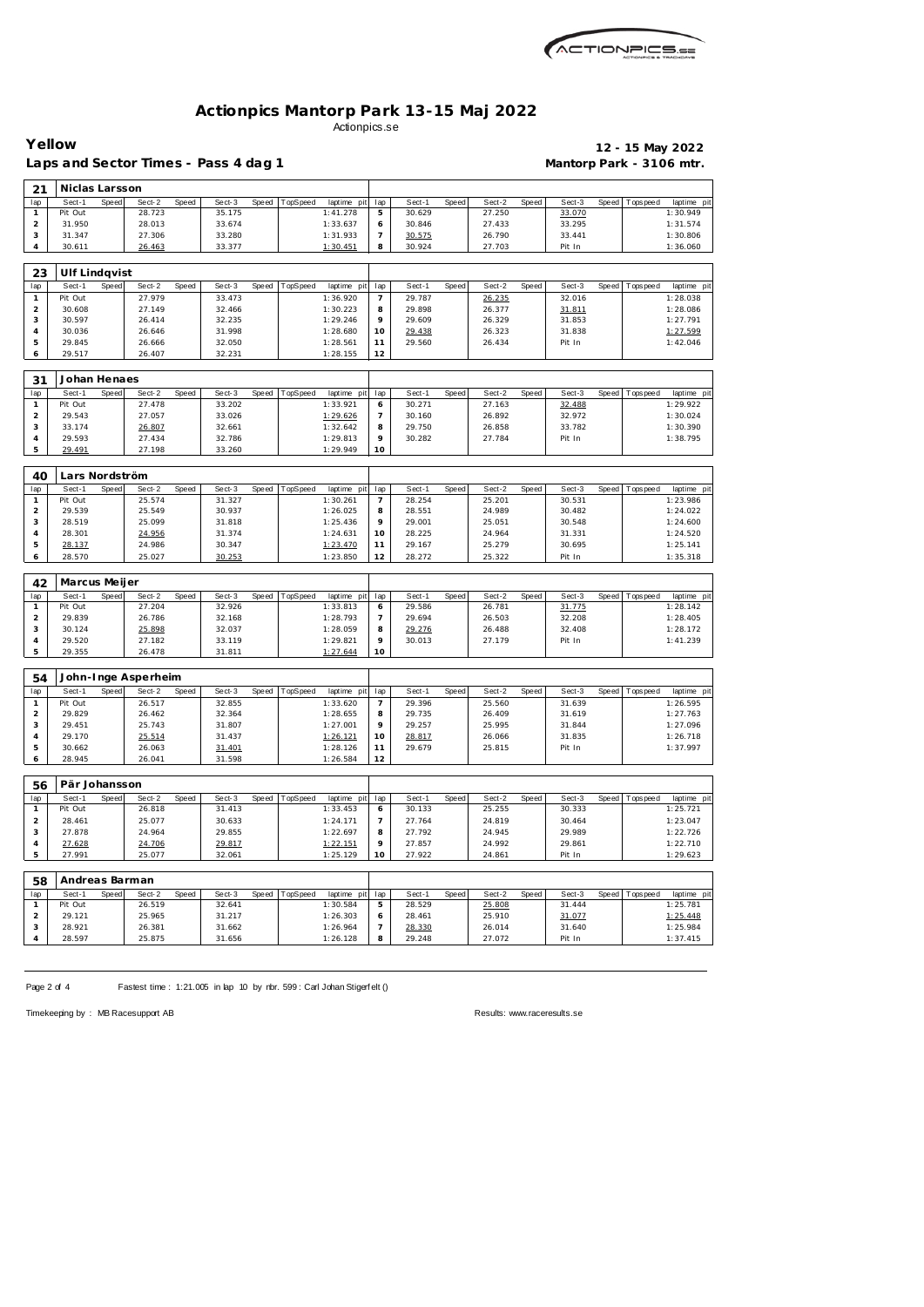

Laps and Sector Times - Pass 4 dag 1 **Mantorp Park - 3106 mtr.** 

 $\blacksquare$ 

**Yellow 12 - 15 May 2022**

| 21                  | Niclas Larsson       |       |                     |       |                  |       |          |                         |                     |                  |       |                  |       |                  |       |                |                         |
|---------------------|----------------------|-------|---------------------|-------|------------------|-------|----------|-------------------------|---------------------|------------------|-------|------------------|-------|------------------|-------|----------------|-------------------------|
| lap                 | Sect-1               | Speed | Sect-2              | Speed | Sect-3           | Speed | TopSpeed | laptime pit             | lap                 | Sect-1           | Speed | Sect-2           | Speed | Sect-3           | Speed | T ops pee d    | laptime pit             |
| $\mathbf{1}$        | Pit Out              |       | 28.723              |       | 35.175           |       |          | 1:41.278                | 5                   | 30.629           |       | 27.250           |       | 33.070           |       |                | 1:30.949                |
| $\overline{a}$      | 31.950               |       | 28.013              |       | 33.674           |       |          | 1:33.637                | 6                   | 30.846           |       | 27.433           |       | 33.295           |       |                | 1:31.574                |
| 3                   | 31.347               |       | 27.306              |       | 33.280           |       |          | 1:31.933                | $\overline{7}$      | 30.575           |       | 26.790           |       | 33.441           |       |                | 1:30.806                |
| $\overline{4}$      | 30.611               |       | 26.463              |       | 33.377           |       |          | 1:30.451                | 8                   | 30.924           |       | 27.703           |       | Pit In           |       |                | 1:36.060                |
|                     |                      |       |                     |       |                  |       |          |                         |                     |                  |       |                  |       |                  |       |                |                         |
| 23                  | <b>Ulf Lindqvist</b> |       |                     |       |                  |       |          |                         |                     |                  |       |                  |       |                  |       |                |                         |
| lap                 | Sect-1               | Speed | Sect-2              | Speed | Sect-3           | Speed | TopSpeed | laptime pit             | lap                 | Sect-1           | Speed | Sect-2           | Speed | Sect-3           | Speed | T ops pee d    | laptime pit             |
| $\mathbf{1}$        | Pit Out              |       | 27.979              |       | 33.473           |       |          | 1:36.920                | 7                   | 29.787           |       | 26.235           |       | 32.016           |       |                | 1:28.038                |
| $\overline{a}$      | 30.608               |       | 27.149              |       | 32.466           |       |          | 1:30.223                | 8                   | 29.898           |       | 26.377           |       | 31.811           |       |                | 1:28.086                |
| 3                   | 30.597               |       | 26.414              |       | 32.235           |       |          | 1:29.246                | 9                   | 29.609           |       | 26.329           |       | 31.853           |       |                | 1:27.791                |
| $\overline{4}$      | 30.036               |       | 26.646              |       | 31.998           |       |          | 1:28.680                | 10                  | 29.438           |       | 26.323           |       | 31.838           |       |                | 1:27.599                |
| 5                   | 29.845               |       | 26.666              |       | 32.050           |       |          | 1:28.561                | 11                  | 29.560           |       | 26.434           |       | Pit In           |       |                | 1:42.046                |
| 6                   | 29.517               |       | 26.407              |       | 32.231           |       |          | 1:28.155                | 12                  |                  |       |                  |       |                  |       |                |                         |
|                     |                      |       |                     |       |                  |       |          |                         |                     |                  |       |                  |       |                  |       |                |                         |
| 31                  | Johan Henaes         |       |                     |       |                  |       |          |                         |                     |                  |       |                  |       |                  |       |                |                         |
|                     | Sect-1               |       |                     |       | Sect-3           |       |          |                         |                     | Sect-1           |       | Sect-2           |       | Sect-3           |       |                |                         |
| lap<br>$\mathbf{1}$ | Pit Out              | Speed | Sect-2<br>27.478    | Speed | 33.202           | Speed | TopSpeed | laptime pit<br>1:33.921 | lap<br>6            | 30.271           | Speed | 27.163           | Speed | 32.488           |       | Speed Topspeed | laptime pit<br>1:29.922 |
|                     |                      |       |                     |       |                  |       |          |                         |                     |                  |       |                  |       |                  |       |                |                         |
| $\overline{2}$      | 29.543               |       | 27.057              |       | 33.026           |       |          | 1:29.626                | 7                   | 30.160           |       | 26.892           |       | 32.972           |       |                | 1:30.024                |
| 3                   | 33.174               |       | 26.807              |       | 32.661           |       |          | 1:32.642                | 8                   | 29.750           |       | 26.858           |       | 33.782           |       |                | 1:30.390                |
| 4                   | 29.593               |       | 27.434              |       | 32.786           |       |          | 1:29.813                | 9                   | 30.282           |       | 27.784           |       | Pit In           |       |                | 1:38.795                |
| 5                   | 29.491               |       | 27.198              |       | 33.260           |       |          | 1:29.949                | 10                  |                  |       |                  |       |                  |       |                |                         |
|                     |                      |       |                     |       |                  |       |          |                         |                     |                  |       |                  |       |                  |       |                |                         |
| 40                  | Lars Nordström       |       |                     |       |                  |       |          |                         |                     |                  |       |                  |       |                  |       |                |                         |
| lap                 | Sect-1               | Speed | Sect-2              | Speed | Sect-3           | Speed | TopSpeed | laptime pit             | lap                 | Sect-1           | Speed | Sect-2           | Speed | Sect-3           | Speed | Tops peed      | laptime pit             |
| $\mathbf{1}$        | Pit Out              |       | 25.574              |       | 31.327           |       |          | 1:30.261                | 7                   | 28.254           |       | 25.201           |       | 30.531           |       |                | 1:23.986                |
| $\overline{a}$      | 29.539               |       | 25.549              |       | 30.937           |       |          | 1:26.025                | 8                   | 28.551           |       | 24.989           |       | 30.482           |       |                | 1:24.022                |
| 3                   | 28.519               |       | 25.099              |       | 31.818           |       |          | 1:25.436                | 9                   | 29.001           |       | 25.051           |       | 30.548           |       |                | 1:24.600                |
| $\overline{4}$      | 28.301               |       | 24.956              |       | 31.374           |       |          | 1:24.631                | 10                  | 28.225           |       | 24.964           |       | 31.331           |       |                | 1:24.520                |
| 5                   | 28.137               |       | 24.986              |       | 30.347           |       |          | 1:23.470                | 11                  | 29.167           |       | 25.279           |       | 30.695           |       |                | 1:25.141                |
| 6                   | 28.570               |       | 25.027              |       | 30.253           |       |          | 1:23.850                | 12                  | 28.272           |       | 25.322           |       | Pit In           |       |                | 1:35.318                |
|                     |                      |       |                     |       |                  |       |          |                         |                     |                  |       |                  |       |                  |       |                |                         |
| 42                  | Marcus Meijer        |       |                     |       |                  |       |          |                         |                     |                  |       |                  |       |                  |       |                |                         |
|                     | Sect-1               | Speed | Sect-2              | Speed | Sect-3           | Speed | TopSpeed | laptime pit             | lap                 | Sect-1           | Speed | Sect-2           | Speed | Sect-3           | Speed | T ops pee d    | laptime pit             |
|                     |                      |       |                     |       |                  |       |          | 1:33.813                | 6                   | 29.586           |       | 26.781           |       | 31.775           |       |                | 1:28.142                |
| lap<br>$\mathbf{1}$ | Pit Out              |       | 27.204              |       | 32.926           |       |          |                         |                     |                  |       |                  |       |                  |       |                |                         |
| $\overline{a}$      | 29.839               |       | 26.786              |       | 32.168           |       |          | 1:28.793                | 7                   | 29.694           |       | 26.503           |       | 32.208           |       |                | 1:28.405                |
| 3                   | 30.124               |       | 25.898              |       | 32.037           |       |          | 1:28.059                | 8                   | 29.276           |       | 26.488           |       | 32.408           |       |                | 1:28.172                |
| $\overline{4}$      | 29.520               |       | 27.182              |       | 33.119           |       |          | 1:29.821                | 9                   | 30.013           |       | 27.179           |       | Pit In           |       |                | 1:41.239                |
| 5                   | 29.355               |       | 26.478              |       | 31.811           |       |          | 1: 27.644               | 10                  |                  |       |                  |       |                  |       |                |                         |
|                     |                      |       |                     |       |                  |       |          |                         |                     |                  |       |                  |       |                  |       |                |                         |
|                     |                      |       |                     |       |                  |       |          |                         |                     |                  |       |                  |       |                  |       |                |                         |
| 54                  |                      |       | John-Inge Asperheim |       |                  |       |          |                         |                     |                  |       |                  |       |                  |       |                |                         |
| lap                 | Sect-1               | Speed | Sect-2              | Speed | Sect-3           | Speed | TopSpeed | laptime pit             | lap                 | Sect-1           | Speed | Sect-2           | Speed | Sect-3           |       | Speed Topspeed | laptime pit             |
| $\mathbf{1}$        | Pit Out              |       | 26.517              |       | 32.855           |       |          | 1:33.620                | $\overline{7}$      | 29.396           |       | 25.560           |       | 31.639           |       |                | 1:26.595                |
| $\overline{2}$      | 29.829               |       | 26.462              |       | 32.364           |       |          | 1:28.655                | 8                   | 29.735           |       | 26.409           |       | 31.619           |       |                | 1:27.763                |
| 3                   | 29.451               |       | 25.743              |       | 31.807           |       |          | 1:27.001                | 9                   | 29.257           |       | 25.995           |       | 31.844           |       |                | 1:27.096                |
| $\overline{4}$      | 29.170               |       | 25.514              |       | 31.437           |       |          | 1:26.121                | 10                  | 28.817           |       | 26.066           |       | 31.835           |       |                | 1:26.718                |
| 5                   | 30.662               |       | 26.063              |       | 31.401           |       |          | 1:28.126                | 11                  | 29.679           |       | 25.815           |       | Pit In           |       |                | 1:37.997                |
| 6                   | 28.945               |       | 26.041              |       | 31.598           |       |          | 1:26.584                | 12                  |                  |       |                  |       |                  |       |                |                         |
|                     |                      |       |                     |       |                  |       |          |                         |                     |                  |       |                  |       |                  |       |                |                         |
| 56                  | Pär Johansson        |       |                     |       |                  |       |          |                         |                     |                  |       |                  |       |                  |       |                |                         |
| lap                 | Sect-1               | Speed | Sect-2              | Speed | Sect-3           | Speed | TopSpeed | laptime pit             | lap                 | Sect-1           | Speed | Sect-2           | Speed | Sect-3           | Speed | T ops pee d    | laptime pit             |
| $\mathbf{1}$        | Pit Out              |       | 26.818              |       | 31.413           |       |          | 1:33.453                | 6                   | 30.133           |       | 25.255           |       | 30.333           |       |                | 1:25.721                |
| $\overline{2}$      | 28.461               |       | 25.077              |       | 30.633           |       |          | 1:24.171                | 7                   | 27.764           |       | 24.819           |       | 30.464           |       |                | 1:23.047                |
| 3                   | 27.878               |       | 24.964              |       | 29.855           |       |          | 1:22.697                | 8                   | 27.792           |       | 24.945           |       | 29.989           |       |                | 1:22.726                |
| 4                   | 27.628               |       | 24.706              |       | 29.817           |       |          | 1:22.151                | 9                   | 27.857           |       | 24.992           |       | 29.861           |       |                | 1:22.710                |
| 5                   | 27.991               |       | 25.077              |       | 32.061           |       |          | 1:25.129                | 10                  | 27.922           |       | 24.861           |       | Pit In           |       |                | 1:29.623                |
|                     |                      |       |                     |       |                  |       |          |                         |                     |                  |       |                  |       |                  |       |                |                         |
|                     |                      |       |                     |       |                  |       |          |                         |                     |                  |       |                  |       |                  |       |                |                         |
| 58                  | Andreas Barman       |       |                     |       |                  |       |          |                         |                     |                  |       |                  |       |                  |       |                |                         |
| lap                 | Sect-1               | Speed | Sect-2              | Speed | Sect-3           | Speed | TopSpeed | laptime pit             | lap                 | Sect-1           | Speed | Sect-2           | Speed | Sect-3           | Speed | T ops pee d    | laptime pit             |
| 1                   | Pit Out              |       | 26.519              |       | 32.641           |       |          | 1:30.584                | 5                   | 28.529           |       | 25.808           |       | 31.444           |       |                | 1:25.781                |
| $\overline{2}$      | 29.121               |       | 25.965              |       | 31.217           |       |          | 1:26.303                | 6                   | 28.461           |       | 25.910           |       | 31.077           |       |                | 1:25.448                |
| 3                   | 28.921<br>28.597     |       | 26.381<br>25.875    |       | 31.662<br>31.656 |       |          | 1:26.964<br>1:26.128    | $\overline{7}$<br>8 | 28.330<br>29.248 |       | 26.014<br>27.072 |       | 31.640<br>Pit In |       |                | 1:25.984<br>1:37.415    |

Page 2 of 4 Fastest time : 1:21.005 in lap 10 by nbr. 599 : Carl Johan Stigerf elt ()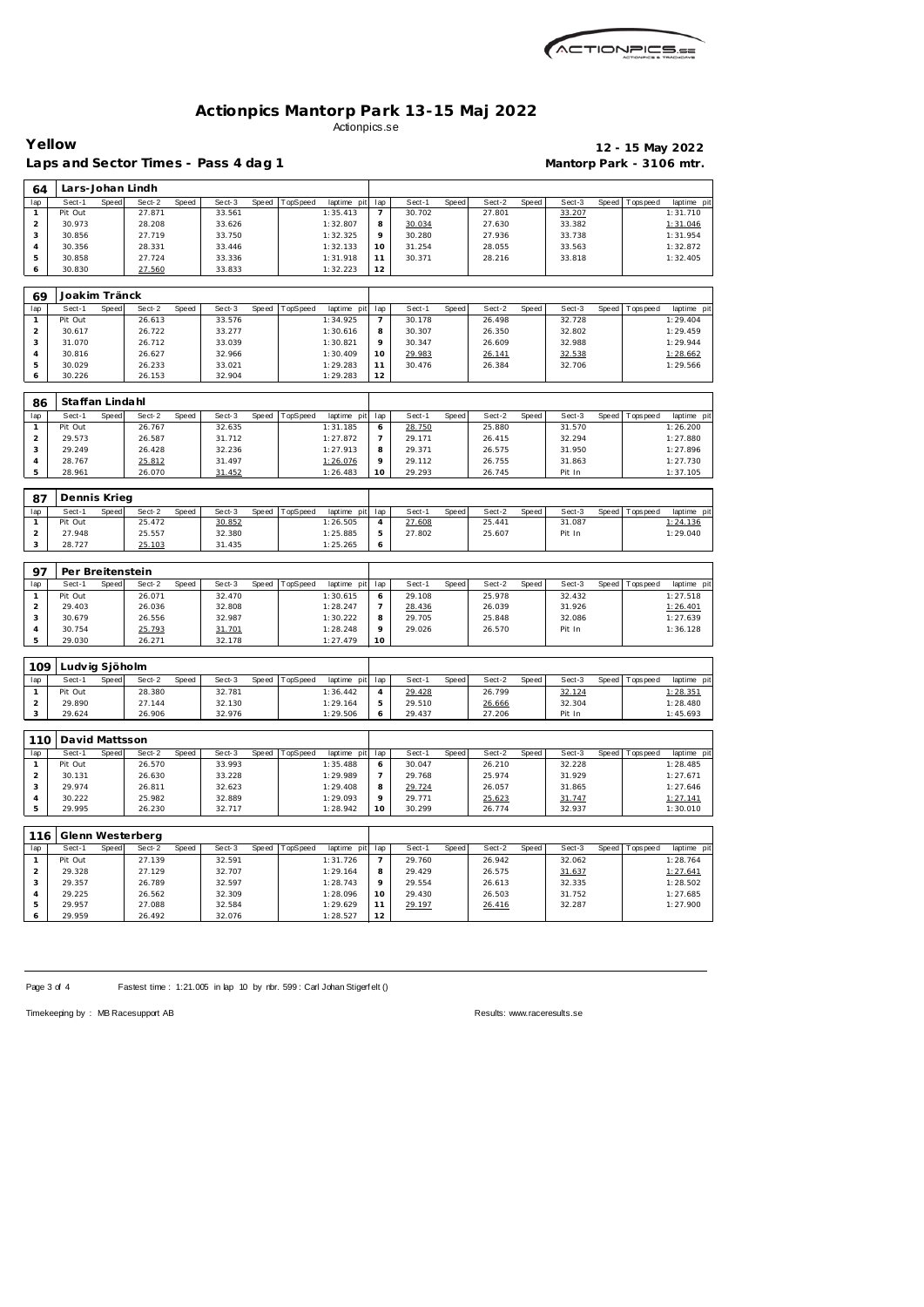

**Yellow 12 - 15 May 2022**

| 64                             | Lars-Johan Lindh         |       |                            |       |                  |       |                |                         |                     |                  |       |                  |       |                  |       |                 |                         |
|--------------------------------|--------------------------|-------|----------------------------|-------|------------------|-------|----------------|-------------------------|---------------------|------------------|-------|------------------|-------|------------------|-------|-----------------|-------------------------|
| lap                            | Sect-1                   | Speed | Sect-2                     | Speed | Sect-3           |       | Speed TopSpeed | laptime pit             | lap                 | Sect-1           | Speed | Sect-2           | Speed | Sect-3           |       | Speed Topspeed  | laptime pit             |
| $\mathbf{1}$                   | Pit Out                  |       | 27.871                     |       | 33.561           |       |                | 1:35.413                | $\overline{7}$      | 30.702           |       | 27.801           |       | 33.207           |       |                 | 1:31.710                |
| 2                              | 30.973                   |       | 28.208                     |       | 33.626           |       |                | 1:32.807                | 8                   | 30.034           |       | 27.630           |       | 33.382           |       |                 | 1:31.046                |
| 3                              | 30.856                   |       | 27.719                     |       | 33.750           |       |                | 1:32.325                | 9                   | 30.280           |       | 27.936           |       | 33.738           |       |                 | 1:31.954                |
| 4                              | 30.356                   |       | 28.331                     |       | 33.446           |       |                | 1:32.133                | 10                  | 31.254           |       | 28.055           |       | 33.563           |       |                 | 1:32.872                |
| 5<br>6                         | 30.858<br>30.830         |       | 27.724<br>27.560           |       | 33.336<br>33.833 |       |                | 1:31.918<br>1:32.223    | 11<br>12            | 30.371           |       | 28.216           |       | 33.818           |       |                 | 1:32.405                |
|                                |                          |       |                            |       |                  |       |                |                         |                     |                  |       |                  |       |                  |       |                 |                         |
| 69                             | Joakim Tränck            |       |                            |       |                  |       |                |                         |                     |                  |       |                  |       |                  |       |                 |                         |
| lap                            | Sect-1                   | Speed | Sect-2                     | Speed | Sect-3           | Speed | TopSpeed       | laptime pit             | lap                 | Sect-1           | Speed | Sect-2           | Speed | Sect-3           | Speed | Tops pee d      | laptime pit             |
| $\mathbf{1}$<br>$\overline{a}$ | Pit Out<br>30.617        |       | 26.613<br>26.722           |       | 33.576<br>33.277 |       |                | 1:34.925<br>1:30.616    | $\overline{7}$<br>8 | 30.178<br>30.307 |       | 26.498<br>26.350 |       | 32.728<br>32.802 |       |                 | 1:29.404<br>1:29.459    |
| 3                              | 31.070                   |       | 26.712                     |       | 33.039           |       |                | 1:30.821                | 9                   | 30.347           |       | 26.609           |       | 32.988           |       |                 | 1:29.944                |
| 4                              | 30.816                   |       | 26.627                     |       | 32.966           |       |                | 1:30.409                | 10                  | 29.983           |       | 26.141           |       | 32.538           |       |                 | 1:28.662                |
| 5                              | 30.029                   |       | 26.233                     |       | 33.021           |       |                | 1:29.283                | 11                  | 30.476           |       | 26.384           |       | 32.706           |       |                 | 1:29.566                |
| 6                              | 30.226                   |       | 26.153                     |       | 32.904           |       |                | 1:29.283                | 12                  |                  |       |                  |       |                  |       |                 |                         |
| 86                             | Staffan Lindahl          |       |                            |       |                  |       |                |                         |                     |                  |       |                  |       |                  |       |                 |                         |
| lap                            | Sect-1                   | Speed | Sect-2                     | Speed | Sect-3           | Speed | TopSpeed       | laptime pit             | lap                 | Sect-1           | Speed | Sect-2           | Speed | Sect-3           | Speed | T ops pee d     | laptime pit             |
| $\mathbf{1}$                   | Pit Out                  |       | 26.767                     |       | 32.635           |       |                | 1:31.185                | 6                   | 28.750           |       | 25.880           |       | 31.570           |       |                 | 1:26.200                |
| $\overline{a}$                 | 29.573                   |       | 26.587                     |       | 31.712           |       |                | 1:27.872                | 7                   | 29.171           |       | 26.415           |       | 32.294           |       |                 | 1:27.880                |
| 3                              | 29.249                   |       | 26.428                     |       | 32.236           |       |                | 1:27.913                | 8                   | 29.371           |       | 26.575           |       | 31.950           |       |                 | 1:27.896                |
| 4                              | 28.767                   |       | 25.812                     |       | 31.497           |       |                | 1:26.076                | 9                   | 29.112           |       | 26.755           |       | 31.863           |       |                 | 1:27.730                |
| 5                              | 28.961                   |       | 26.070                     |       | 31.452           |       |                | 1:26.483                | 10                  | 29.293           |       | 26.745           |       | Pit In           |       |                 | 1:37.105                |
| 87                             | Dennis Krieg             |       |                            |       |                  |       |                |                         |                     |                  |       |                  |       |                  |       |                 |                         |
| lap                            | Sect-1                   | Speed | Sect-2                     | Speed | Sect-3           | Speed | TopSpeed       | laptime pit             | lap                 | Sect-1           | Speed | Sect-2           | Speed | Sect-3           | Speed | <b>Topspeed</b> | laptime pit             |
| $\mathbf{1}$                   | Pit Out                  |       | 25.472                     |       | 30.852           |       |                | 1:26.505                | 4                   | 27.608           |       | 25.441           |       | 31.087           |       |                 | 1:24.136                |
| $\overline{a}$                 | 27.948                   |       | 25.557                     |       | 32.380           |       |                | 1:25.885                | 5                   | 27.802           |       | 25.607           |       | Pit In           |       |                 | 1:29.040                |
| 3                              | 28.727                   |       | 25.103                     |       | 31.435           |       |                | 1:25.265                | 6                   |                  |       |                  |       |                  |       |                 |                         |
| 97                             | Per Breitenstein         |       |                            |       |                  |       |                |                         |                     |                  |       |                  |       |                  |       |                 |                         |
| lap                            | Sect-1                   | Speed | Sect-2                     | Speed | Sect-3           | Speed | TopSpeed       | laptime pit             | lap                 | Sect-1           | Speed | Sect-2           | Speed | Sect-3           | Speed | Tops pee d      | laptime pit             |
| $\mathbf{1}$                   | Pit Out                  |       | 26.071                     |       | 32.470           |       |                | 1:30.615                | 6                   | 29.108           |       | 25.978           |       | 32.432           |       |                 | 1:27.518                |
| $\overline{a}$                 | 29.403                   |       | 26.036                     |       | 32.808           |       |                | 1:28.247                | 7                   | 28.436           |       | 26.039           |       | 31.926           |       |                 | 1:26.401                |
| 3                              | 30.679                   |       | 26.556                     |       | 32.987           |       |                | 1:30.222                | 8                   | 29.705           |       | 25.848           |       | 32.086           |       |                 | 1:27.639                |
| 4<br>5                         | 30.754<br>29.030         |       | 25.793<br>26.271           |       | 31.701<br>32.178 |       |                | 1:28.248<br>1:27.479    | 9<br>10             | 29.026           |       | 26.570           |       | Pit In           |       |                 | 1:36.128                |
|                                |                          |       |                            |       |                  |       |                |                         |                     |                  |       |                  |       |                  |       |                 |                         |
| 109                            | Ludvig Sjöholm           |       |                            |       |                  |       |                |                         |                     |                  |       |                  |       |                  |       |                 |                         |
| lap<br>$\mathbf{1}$            | Sect-1<br>Pit Out        | Speed | Sect-2<br>28.380           | Speed | Sect-3<br>32.781 | Speed | TopSpeed       | laptime pit<br>1:36.442 | lap<br>4            | Sect-1<br>29.428 | Speed | Sect-2<br>26.799 | Speed | Sect-3<br>32.124 | Speed | Tops peed       | laptime pit<br>1:28.351 |
| $\overline{a}$                 | 29.890                   |       | 27.144                     |       | 32.130           |       |                | 1:29.164                | 5                   | 29.510           |       | 26.666           |       | 32.304           |       |                 | 1:28.480                |
| 3                              | 29.624                   |       | 26.906                     |       | 32.976           |       |                | 1:29.506                | 6                   | 29.437           |       | 27.206           |       | Pit In           |       |                 | 1:45.693                |
|                                |                          |       |                            |       |                  |       |                |                         |                     |                  |       |                  |       |                  |       |                 |                         |
| 110<br>lap                     | David Mattsson<br>Sect-1 | Speed | Sect-2                     | Speed | Sect-3           | Speed | TopSpeed       | laptime pit             | lap                 | Sect-1           | Speed | Sect-2           | Speed | Sect-3           | Speed | Topspeed        | laptime pit             |
| $\mathbf{1}$                   | Pit Out                  |       | 26.570                     |       | 33.993           |       |                | 1:35.488                | 6                   | 30.047           |       | 26.210           |       | 32.228           |       |                 | 1:28.485                |
| $\overline{a}$                 | 30.131                   |       | 26.630                     |       | 33.228           |       |                | 1:29.989                | $\overline{7}$      | 29.768           |       | 25.974           |       | 31.929           |       |                 | 1:27.671                |
| 3                              | 29.974                   |       | 26.811                     |       | 32.623           |       |                | 1:29.408                | 8                   | 29.724           |       | 26.057           |       | 31.865           |       |                 | 1:27.646                |
|                                | 30.222                   |       | 25.982                     |       | 32.889           |       |                | 1:29.093                | 9                   | 29.771           |       | 25.623           |       | 31.747           |       |                 | 1:27.141                |
| 4                              |                          |       | 26.230                     |       | 32.717           |       |                | 1:28.942                | 10                  | 30.299           |       | 26.774           |       | 32.937           |       |                 | 1:30.010                |
| 5                              | 29.995                   |       |                            |       |                  |       |                |                         |                     |                  |       |                  |       |                  |       |                 |                         |
|                                |                          |       |                            |       |                  |       |                |                         |                     |                  |       |                  |       |                  |       |                 |                         |
| lap                            | Sect-1                   | Speed | Glenn Westerberg<br>Sect-2 | Speed | Sect-3           | Speed | TopSpeed       | laptime pit             | lap                 | Sect-1           | Speed | Sect-2           | Speed | Sect-3           | Speed | <b>Topspeed</b> | laptime pit             |
| $\mathbf{1}$                   | Pit Out                  |       | 27.139                     |       | 32.591           |       |                | 1:31.726                | $\overline{7}$      | 29.760           |       | 26.942           |       | 32.062           |       |                 | 1:28.764                |
| $\overline{c}$                 | 29.328                   |       | 27.129                     |       | 32.707           |       |                | 1:29.164                | 8                   | 29.429           |       | 26.575           |       | 31.637           |       |                 | 1:27.641                |
| 3                              | 29.357                   |       | 26.789                     |       | 32.597           |       |                | 1:28.743                | 9                   | 29.554           |       | 26.613           |       | 32.335           |       |                 | 1:28.502                |
| 4                              | 29.225                   |       | 26.562                     |       | 32.309           |       |                | 1:28.096                | 10                  | 29.430           |       | 26.503           |       | 31.752           |       |                 | 1:27.685                |
| 116<br>5<br>6                  | 29.957<br>29.959         |       | 27.088<br>26.492           |       | 32.584<br>32.076 |       |                | 1:29.629<br>1:28.527    | 11<br>12            | 29.197           |       | 26.416           |       | 32.287           |       |                 | 1:27.900                |

Page 3 of 4 Fastest time : 1:21.005 in lap 10 by nbr. 599 : Carl Johan Stigerf elt ()